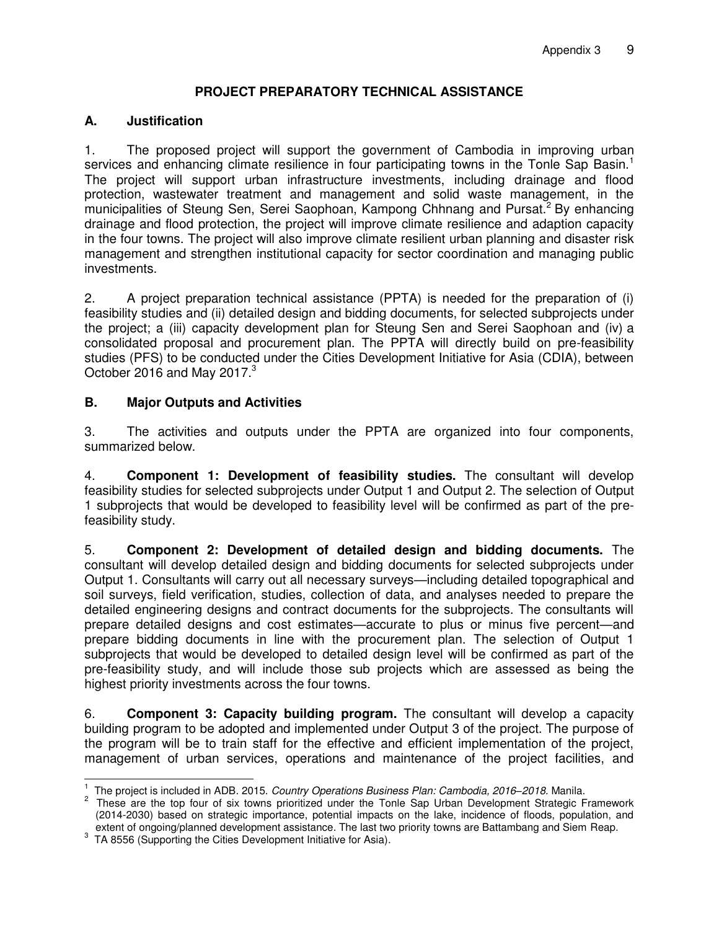## **PROJECT PREPARATORY TECHNICAL ASSISTANCE**

#### **A. Justification**

1. The proposed project will support the government of Cambodia in improving urban services and enhancing climate resilience in four participating towns in the Tonle Sap Basin.<sup>1</sup> The project will support urban infrastructure investments, including drainage and flood protection, wastewater treatment and management and solid waste management, in the municipalities of Steung Sen, Serei Saophoan, Kampong Chhnang and Pursat.<sup>2</sup> By enhancing drainage and flood protection, the project will improve climate resilience and adaption capacity in the four towns. The project will also improve climate resilient urban planning and disaster risk management and strengthen institutional capacity for sector coordination and managing public investments.

2. A project preparation technical assistance (PPTA) is needed for the preparation of (i) feasibility studies and (ii) detailed design and bidding documents, for selected subprojects under the project; a (iii) capacity development plan for Steung Sen and Serei Saophoan and (iv) a consolidated proposal and procurement plan. The PPTA will directly build on pre-feasibility studies (PFS) to be conducted under the Cities Development Initiative for Asia (CDIA), between October 2016 and May 2017. $3$ 

# **B. Major Outputs and Activities**

3. The activities and outputs under the PPTA are organized into four components, summarized below.

4. **Component 1: Development of feasibility studies.** The consultant will develop feasibility studies for selected subprojects under Output 1 and Output 2. The selection of Output 1 subprojects that would be developed to feasibility level will be confirmed as part of the prefeasibility study.

5. **Component 2: Development of detailed design and bidding documents.** The consultant will develop detailed design and bidding documents for selected subprojects under Output 1. Consultants will carry out all necessary surveys—including detailed topographical and soil surveys, field verification, studies, collection of data, and analyses needed to prepare the detailed engineering designs and contract documents for the subprojects. The consultants will prepare detailed designs and cost estimates—accurate to plus or minus five percent—and prepare bidding documents in line with the procurement plan. The selection of Output 1 subprojects that would be developed to detailed design level will be confirmed as part of the pre-feasibility study, and will include those sub projects which are assessed as being the highest priority investments across the four towns.

6. **Component 3: Capacity building program.** The consultant will develop a capacity building program to be adopted and implemented under Output 3 of the project. The purpose of the program will be to train staff for the effective and efficient implementation of the project, management of urban services, operations and maintenance of the project facilities, and

 1 The project is included in ADB. 2015. *Country Operations Business Plan: Cambodia, 2016–2018.* Manila.

<sup>&</sup>lt;sup>2</sup> These are the top four of six towns prioritized under the Tonle Sap Urban Development Strategic Framework (2014-2030) based on strategic importance, potential impacts on the lake, incidence of floods, population, and extent of ongoing/planned development assistance. The last two priority towns are Battambang and Siem Reap.

 $3$  TA 8556 (Supporting the Cities Development Initiative for Asia).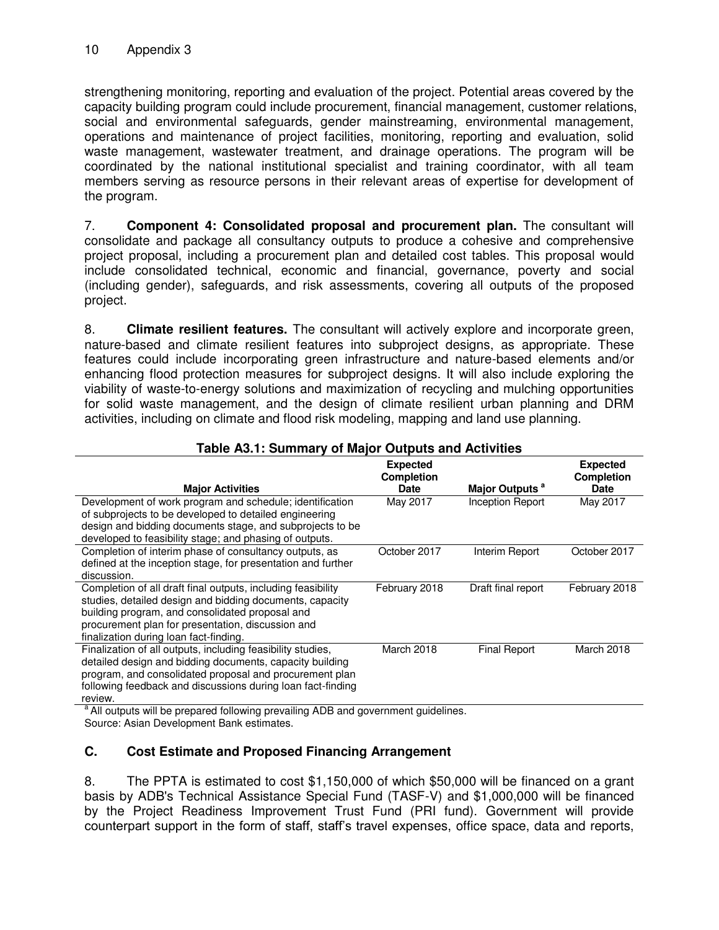strengthening monitoring, reporting and evaluation of the project. Potential areas covered by the capacity building program could include procurement, financial management, customer relations, social and environmental safeguards, gender mainstreaming, environmental management, operations and maintenance of project facilities, monitoring, reporting and evaluation, solid waste management, wastewater treatment, and drainage operations. The program will be coordinated by the national institutional specialist and training coordinator, with all team members serving as resource persons in their relevant areas of expertise for development of the program.

7. **Component 4: Consolidated proposal and procurement plan.** The consultant will consolidate and package all consultancy outputs to produce a cohesive and comprehensive project proposal, including a procurement plan and detailed cost tables. This proposal would include consolidated technical, economic and financial, governance, poverty and social (including gender), safeguards, and risk assessments, covering all outputs of the proposed project.

8. **Climate resilient features.** The consultant will actively explore and incorporate green, nature-based and climate resilient features into subproject designs, as appropriate. These features could include incorporating green infrastructure and nature-based elements and/or enhancing flood protection measures for subproject designs. It will also include exploring the viability of waste-to-energy solutions and maximization of recycling and mulching opportunities for solid waste management, and the design of climate resilient urban planning and DRM activities, including on climate and flood risk modeling, mapping and land use planning.

|                                                                                                                                                                                                                                                                            | <b>Expected</b><br><b>Completion</b> |                            | <b>Expected</b><br><b>Completion</b> |
|----------------------------------------------------------------------------------------------------------------------------------------------------------------------------------------------------------------------------------------------------------------------------|--------------------------------------|----------------------------|--------------------------------------|
| <b>Major Activities</b>                                                                                                                                                                                                                                                    | <b>Date</b>                          | Major Outputs <sup>a</sup> | <b>Date</b>                          |
| Development of work program and schedule; identification<br>of subprojects to be developed to detailed engineering<br>design and bidding documents stage, and subprojects to be<br>developed to feasibility stage; and phasing of outputs.                                 | May 2017                             | <b>Inception Report</b>    | May 2017                             |
| Completion of interim phase of consultancy outputs, as<br>defined at the inception stage, for presentation and further<br>discussion.                                                                                                                                      | October 2017                         | Interim Report             | October 2017                         |
| Completion of all draft final outputs, including feasibility<br>studies, detailed design and bidding documents, capacity<br>building program, and consolidated proposal and<br>procurement plan for presentation, discussion and<br>finalization during loan fact-finding. | February 2018                        | Draft final report         | February 2018                        |
| Finalization of all outputs, including feasibility studies,<br>detailed design and bidding documents, capacity building<br>program, and consolidated proposal and procurement plan<br>following feedback and discussions during loan fact-finding<br>review.               | March 2018                           | <b>Final Report</b>        | March 2018                           |
| $-95.2 \pm 0.000$ and $-1.2$                                                                                                                                                                                                                                               | وبالمساوية والمستورية                |                            |                                      |

# **Table A3.1: Summary of Major Outputs and Activities**

<sup>a</sup> All outputs will be prepared following prevailing ADB and government guidelines. Source: Asian Development Bank estimates.

## **C. Cost Estimate and Proposed Financing Arrangement**

8. The PPTA is estimated to cost \$1,150,000 of which \$50,000 will be financed on a grant basis by ADB's Technical Assistance Special Fund (TASF-V) and \$1,000,000 will be financed by the Project Readiness Improvement Trust Fund (PRI fund). Government will provide counterpart support in the form of staff, staff's travel expenses, office space, data and reports,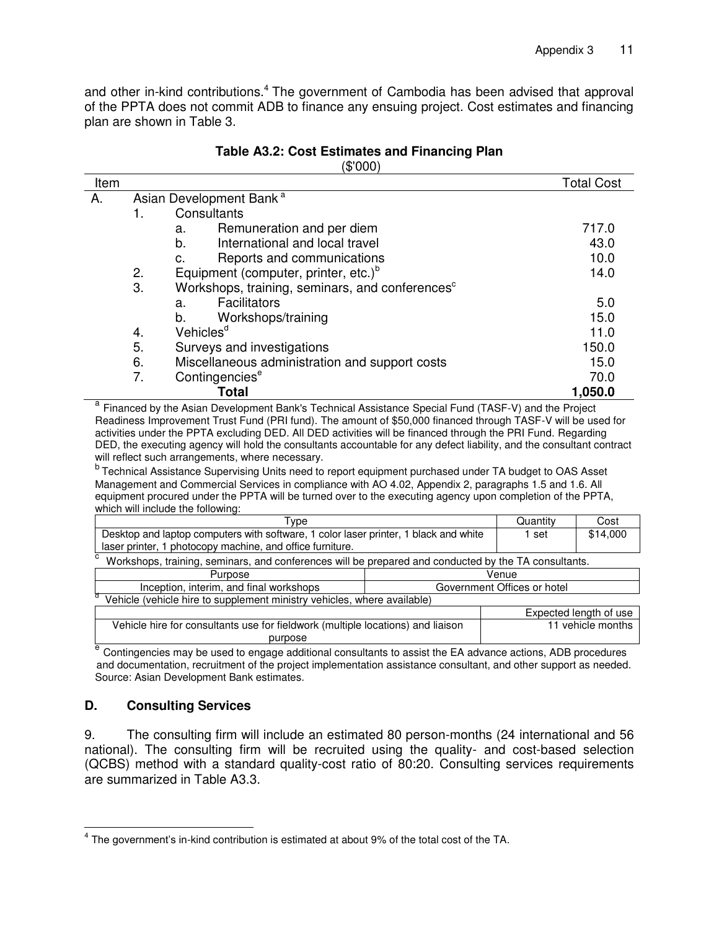and other in-kind contributions.<sup>4</sup> The government of Cambodia has been advised that approval of the PPTA does not commit ADB to finance any ensuing project. Cost estimates and financing plan are shown in Table 3.

|      |    | ୍ୱ ୦୦୦)                                                     |                   |
|------|----|-------------------------------------------------------------|-------------------|
| Item |    |                                                             | <b>Total Cost</b> |
| А.   |    | Asian Development Bank <sup>a</sup>                         |                   |
|      | 1. | Consultants                                                 |                   |
|      |    | Remuneration and per diem<br>a.                             | 717.0             |
|      |    | International and local travel<br>b.                        | 43.0              |
|      |    | Reports and communications<br>C.                            | 10.0              |
|      | 2. | Equipment (computer, printer, etc.) <sup>b</sup>            | 14.0              |
|      | 3. | Workshops, training, seminars, and conferences <sup>c</sup> |                   |
|      |    | <b>Facilitators</b><br>a.                                   | 5.0               |
|      |    | Workshops/training<br>b.                                    | 15.0              |
|      | 4. | Vehicles <sup>d</sup>                                       | 11.0              |
|      | 5. | Surveys and investigations                                  | 150.0             |
|      | 6. | Miscellaneous administration and support costs              | 15.0              |
|      | 7. | Contingencies <sup>e</sup>                                  | 70.0              |
|      |    | Total                                                       | 1,050.0           |

#### **Table A3.2: Cost Estimates and Financing Plan**   $(0.000)$

<sup>a</sup> Financed by the Asian Development Bank's Technical Assistance Special Fund (TASF-V) and the Project Readiness Improvement Trust Fund (PRI fund). The amount of \$50,000 financed through TASF-V will be used for activities under the PPTA excluding DED. All DED activities will be financed through the PRI Fund. Regarding DED, the executing agency will hold the consultants accountable for any defect liability, and the consultant contract will reflect such arrangements, where necessary.

<sup>b</sup> Technical Assistance Supervising Units need to report equipment purchased under TA budget to OAS Asset Management and Commercial Services in compliance with AO 4.02, Appendix 2, paragraphs 1.5 and 1.6. All equipment procured under the PPTA will be turned over to the executing agency upon completion of the PPTA, which will include the following:

| Type                                                                                                      |                             | Quantity          | Cost                   |
|-----------------------------------------------------------------------------------------------------------|-----------------------------|-------------------|------------------------|
| Desktop and laptop computers with software, 1 color laser printer, 1 black and white                      |                             | 1 set             | \$14,000               |
| laser printer, 1 photocopy machine, and office furniture.                                                 |                             |                   |                        |
| с<br>Workshops, training, seminars, and conferences will be prepared and conducted by the TA consultants. |                             |                   |                        |
| Purpose                                                                                                   | Venue                       |                   |                        |
| Inception, interim, and final workshops                                                                   | Government Offices or hotel |                   |                        |
| Vehicle (vehicle hire to supplement ministry vehicles, where available)                                   |                             |                   |                        |
|                                                                                                           |                             |                   | Expected length of use |
| Vehicle hire for consultants use for fieldwork (multiple locations) and liaison                           |                             | 11 vehicle months |                        |
| purpose                                                                                                   |                             |                   |                        |

<sup>e</sup> Contingencies may be used to engage additional consultants to assist the EA advance actions, ADB procedures and documentation, recruitment of the project implementation assistance consultant, and other support as needed. Source: Asian Development Bank estimates.

## **D. Consulting Services**

9. The consulting firm will include an estimated 80 person-months (24 international and 56 national). The consulting firm will be recruited using the quality- and cost-based selection (QCBS) method with a standard quality-cost ratio of 80:20. Consulting services requirements are summarized in Table A3.3.

 4 The government's in-kind contribution is estimated at about 9% of the total cost of the TA.